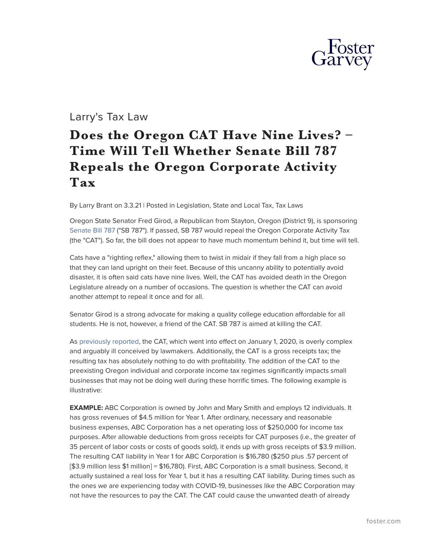

## Larry's Tax Law

## **Does the Oregon CAT Have Nine Lives? – Time Will Tell Whether Senate Bill 787 Repeals the Oregon Corporate Activity Tax**

By Larry Brant on 3.3.21 | Posted in Legislation, State and Local Tax, Tax Laws

Oregon State Senator Fred Girod, a Republican from Stayton, Oregon (District 9), is sponsoring [Senate Bill 787](https://olis.leg.state.or.us/liz/2021R1/Downloads/MeasureDocument/SB787/Introduced) ("SB 787"). If passed, SB 787 would repeal the Oregon Corporate Activity Tax (the "CAT"). So far, the bill does not appear to have much momentum behind it, but time will tell.

Cats have a "righting reflex," allowing them to twist in midair if they fall from a high place so that they can land upright on their feet. Because of this uncanny ability to potentially avoid disaster, it is often said cats have nine lives. Well, the CAT has avoided death in the Oregon Legislature already on a number of occasions. The question is whether the CAT can avoid another attempt to repeal it once and for all.

Senator Girod is a strong advocate for making a quality college education affordable for all students. He is not, however, a friend of the CAT. SB 787 is aimed at killing the CAT.

As [previously reported](https://www.foster.com/larry-s-tax-law/tag/corporate-activity-tax), the CAT, which went into effect on January 1, 2020, is overly complex and arguably ill conceived by lawmakers. Additionally, the CAT is a gross receipts tax; the resulting tax has absolutely nothing to do with profitability. The addition of the CAT to the preexisting Oregon individual and corporate income tax regimes significantly impacts small businesses that may not be doing well during these horrific times. The following example is illustrative:

**EXAMPLE:** ABC Corporation is owned by John and Mary Smith and employs 12 individuals. It has gross revenues of \$4.5 million for Year 1. After ordinary, necessary and reasonable business expenses, ABC Corporation has a net operating loss of \$250,000 for income tax purposes. After allowable deductions from gross receipts for CAT purposes (i.e., the greater of 35 percent of labor costs or costs of goods sold), it ends up with gross receipts of \$3.9 million. The resulting CAT liability in Year 1 for ABC Corporation is \$16,780 (\$250 plus .57 percent of [\$3.9 million less \$1 million] = \$16,780). First, ABC Corporation is a small business. Second, it actually sustained a real loss for Year 1, but it has a resulting CAT liability. During times such as the ones we are experiencing today with COVID-19, businesses like the ABC Corporation may not have the resources to pay the CAT. The CAT could cause the unwanted death of already